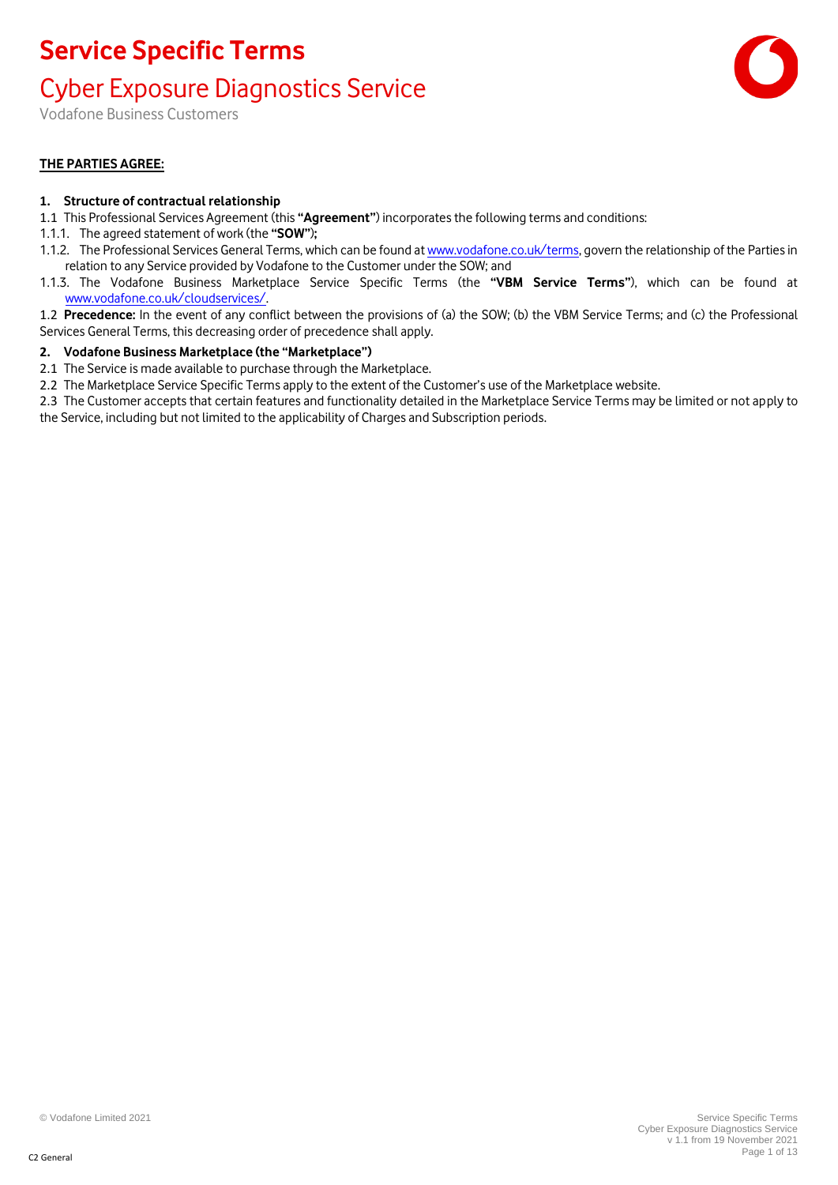### Cyber Exposure Diagnostics Service

Vodafone Business Customers

#### **THE PARTIES AGREE:**

#### **1. Structure of contractual relationship**

- 1.1 This Professional Services Agreement (this **"Agreement"**) incorporates the following terms and conditions:
- 1.1.1. The agreed statement of work (the **"SOW"**)**;**
- 1.1.2. The Professional Services General Terms, which can be found a[t www.vodafone.co.uk/terms,](http://www.vodafone.co.uk/terms) govern the relationship of the Parties in relation to any Service provided by Vodafone to the Customer under the SOW; and
- 1.1.3. The Vodafone Business Marketplace Service Specific Terms (the **"VBM Service Terms"**), which can be found at [www.vodafone.co.uk/cloudservices/.](http://www.vodafone.co.uk/cloudservices/)
- 1.2 **Precedence:** In the event of any conflict between the provisions of (a) the SOW; (b) the VBM Service Terms; and (c) the Professional Services General Terms, this decreasing order of precedence shall apply.

#### **2. Vodafone Business Marketplace (the "Marketplace")**

- 2.1 The Service is made available to purchase through the Marketplace.
- 2.2 The Marketplace Service Specific Terms apply to the extent of the Customer's use of the Marketplace website.
- 2.3 The Customer accepts that certain features and functionality detailed in the Marketplace Service Terms may be limited or not apply to the Service, including but not limited to the applicability of Charges and Subscription periods.

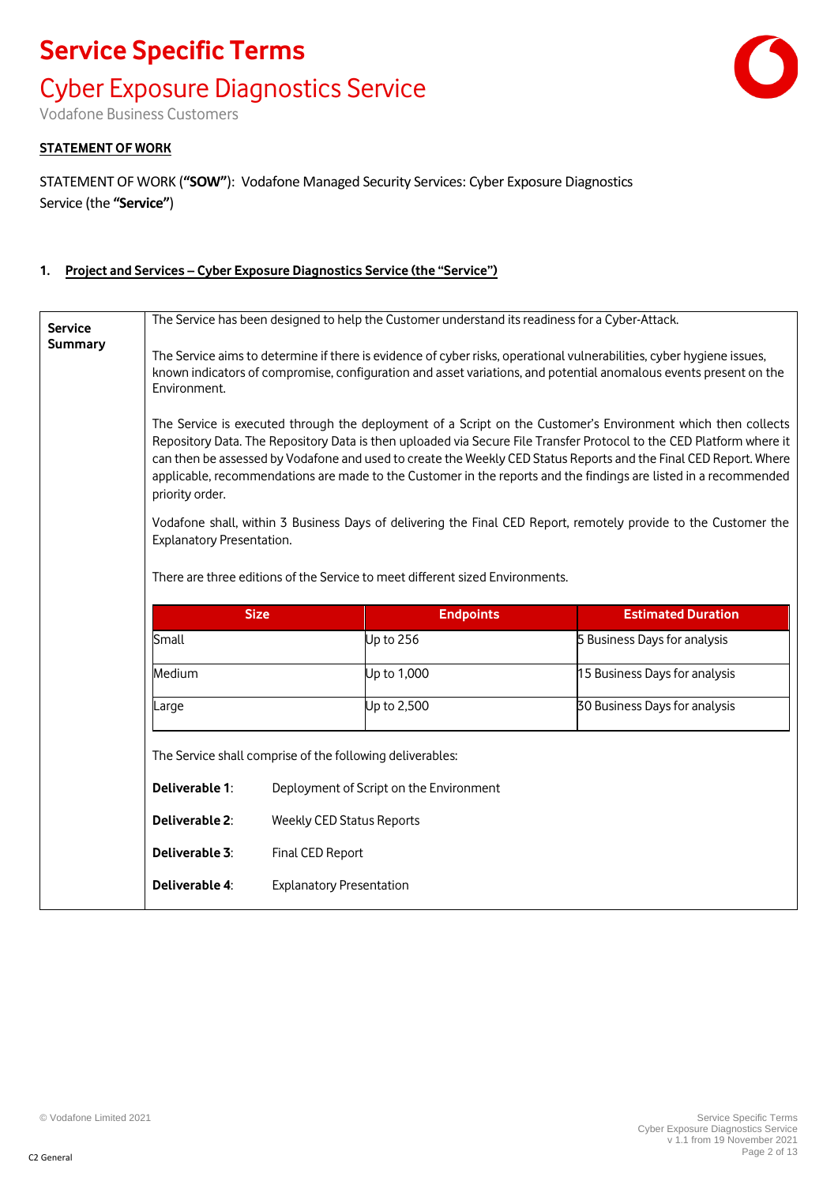# **Service Specific Terms** Cyber Exposure Diagnostics Service

Vodafone Business Customers

#### **STATEMENT OF WORK**

STATEMENT OF WORK (**"SOW"**): Vodafone Managed Security Services: Cyber Exposure Diagnostics Service (the **"Service"**)

#### **1. Project and Services – Cyber Exposure Diagnostics Service (the "Service")**

| <b>Service</b>                                                                | The Service has been designed to help the Customer understand its readiness for a Cyber-Attack.                                                                                                                                                                                                                                                                                                                                                                                                  |                                  |                                         |                               |
|-------------------------------------------------------------------------------|--------------------------------------------------------------------------------------------------------------------------------------------------------------------------------------------------------------------------------------------------------------------------------------------------------------------------------------------------------------------------------------------------------------------------------------------------------------------------------------------------|----------------------------------|-----------------------------------------|-------------------------------|
| Summary                                                                       | The Service aims to determine if there is evidence of cyber risks, operational vulnerabilities, cyber hygiene issues,<br>known indicators of compromise, configuration and asset variations, and potential anomalous events present on the<br>Environment.                                                                                                                                                                                                                                       |                                  |                                         |                               |
|                                                                               | The Service is executed through the deployment of a Script on the Customer's Environment which then collects<br>Repository Data. The Repository Data is then uploaded via Secure File Transfer Protocol to the CED Platform where it<br>can then be assessed by Vodafone and used to create the Weekly CED Status Reports and the Final CED Report. Where<br>applicable, recommendations are made to the Customer in the reports and the findings are listed in a recommended<br>priority order. |                                  |                                         |                               |
|                                                                               | Vodafone shall, within 3 Business Days of delivering the Final CED Report, remotely provide to the Customer the<br>Explanatory Presentation.                                                                                                                                                                                                                                                                                                                                                     |                                  |                                         |                               |
| There are three editions of the Service to meet different sized Environments. |                                                                                                                                                                                                                                                                                                                                                                                                                                                                                                  |                                  |                                         |                               |
|                                                                               | <b>Size</b><br><b>Endpoints</b><br><b>Estimated Duration</b>                                                                                                                                                                                                                                                                                                                                                                                                                                     |                                  |                                         |                               |
|                                                                               | Small                                                                                                                                                                                                                                                                                                                                                                                                                                                                                            |                                  | Up to 256                               | 5 Business Days for analysis  |
|                                                                               | Medium                                                                                                                                                                                                                                                                                                                                                                                                                                                                                           |                                  | Up to 1,000                             | 15 Business Days for analysis |
|                                                                               | Large                                                                                                                                                                                                                                                                                                                                                                                                                                                                                            |                                  | Up to 2,500                             | 30 Business Days for analysis |
|                                                                               | The Service shall comprise of the following deliverables:                                                                                                                                                                                                                                                                                                                                                                                                                                        |                                  |                                         |                               |
|                                                                               | Deliverable 1:                                                                                                                                                                                                                                                                                                                                                                                                                                                                                   |                                  | Deployment of Script on the Environment |                               |
|                                                                               | Deliverable 2:                                                                                                                                                                                                                                                                                                                                                                                                                                                                                   | <b>Weekly CED Status Reports</b> |                                         |                               |
|                                                                               | Deliverable 3:                                                                                                                                                                                                                                                                                                                                                                                                                                                                                   | Final CED Report                 |                                         |                               |
|                                                                               | Deliverable 4:                                                                                                                                                                                                                                                                                                                                                                                                                                                                                   | <b>Explanatory Presentation</b>  |                                         |                               |

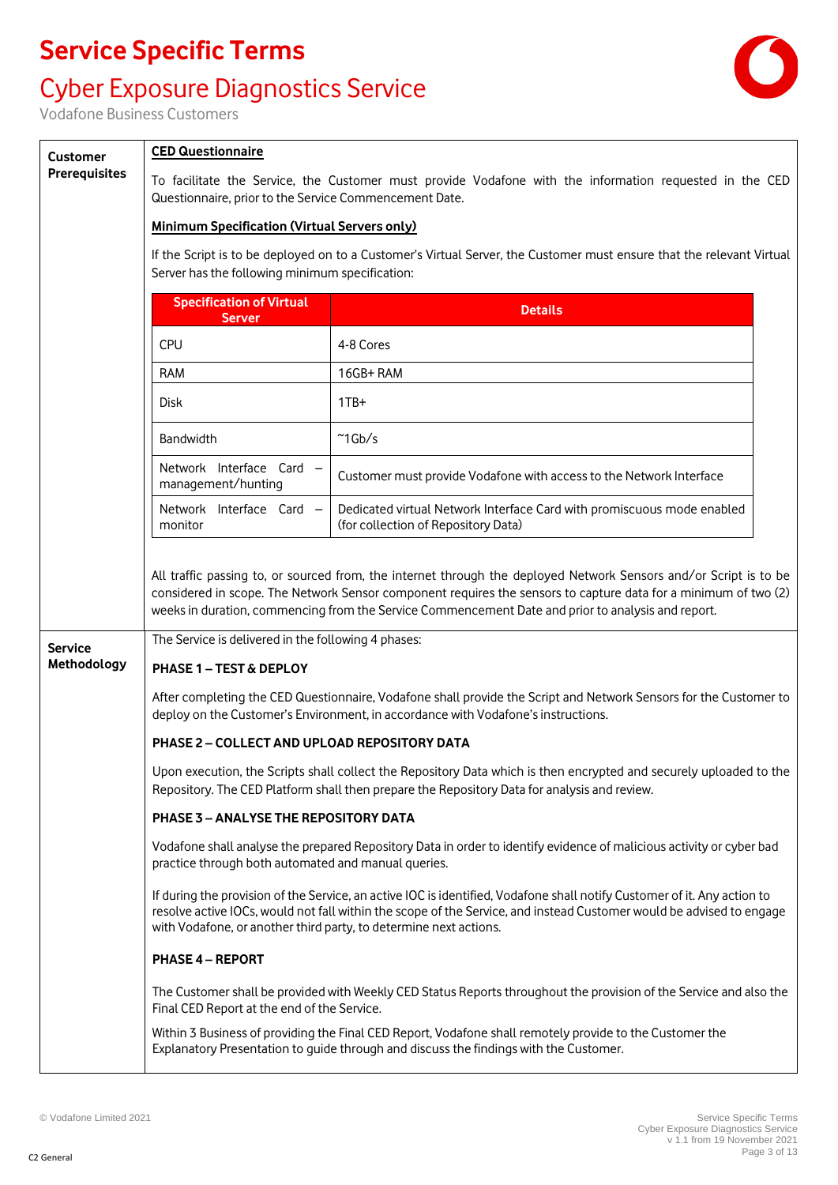### Cyber Exposure Diagnostics Service



Vodafone Business Customers

**Customer Prerequisites**

#### **CED Questionnaire**

To facilitate the Service, the Customer must provide Vodafone with the information requested in the CED Questionnaire, prior to the Service Commencement Date.

#### **Minimum Specification (Virtual Servers only)**

If the Script is to be deployed on to a Customer's Virtual Server, the Customer must ensure that the relevant Virtual Server has the following minimum specification:

|                | <b>Specification of Virtual</b><br><b>Server</b>                                                                                                                                                                   | <b>Details</b>                                                                                                                                                                                                                                                                                                                             |  |  |
|----------------|--------------------------------------------------------------------------------------------------------------------------------------------------------------------------------------------------------------------|--------------------------------------------------------------------------------------------------------------------------------------------------------------------------------------------------------------------------------------------------------------------------------------------------------------------------------------------|--|--|
|                | <b>CPU</b>                                                                                                                                                                                                         | 4-8 Cores                                                                                                                                                                                                                                                                                                                                  |  |  |
|                | <b>RAM</b>                                                                                                                                                                                                         | 16GB+RAM                                                                                                                                                                                                                                                                                                                                   |  |  |
|                | Disk                                                                                                                                                                                                               | $1TB+$                                                                                                                                                                                                                                                                                                                                     |  |  |
|                | Bandwidth                                                                                                                                                                                                          | $~^{\sim}$ 1Gb/s                                                                                                                                                                                                                                                                                                                           |  |  |
|                | Network Interface Card -<br>management/hunting                                                                                                                                                                     | Customer must provide Vodafone with access to the Network Interface                                                                                                                                                                                                                                                                        |  |  |
|                | Network Interface Card -<br>monitor                                                                                                                                                                                | Dedicated virtual Network Interface Card with promiscuous mode enabled<br>(for collection of Repository Data)                                                                                                                                                                                                                              |  |  |
|                |                                                                                                                                                                                                                    | All traffic passing to, or sourced from, the internet through the deployed Network Sensors and/or Script is to be<br>considered in scope. The Network Sensor component requires the sensors to capture data for a minimum of two (2)<br>weeks in duration, commencing from the Service Commencement Date and prior to analysis and report. |  |  |
| <b>Service</b> | The Service is delivered in the following 4 phases:                                                                                                                                                                |                                                                                                                                                                                                                                                                                                                                            |  |  |
| Methodology    | PHASE 1 - TEST & DEPLOY                                                                                                                                                                                            |                                                                                                                                                                                                                                                                                                                                            |  |  |
|                |                                                                                                                                                                                                                    | After completing the CED Questionnaire, Vodafone shall provide the Script and Network Sensors for the Customer to<br>deploy on the Customer's Environment, in accordance with Vodafone's instructions.                                                                                                                                     |  |  |
|                | PHASE 2 - COLLECT AND UPLOAD REPOSITORY DATA                                                                                                                                                                       |                                                                                                                                                                                                                                                                                                                                            |  |  |
|                | Upon execution, the Scripts shall collect the Repository Data which is then encrypted and securely uploaded to the<br>Repository. The CED Platform shall then prepare the Repository Data for analysis and review. |                                                                                                                                                                                                                                                                                                                                            |  |  |
|                | <b>PHASE 3 - ANALYSE THE REPOSITORY DATA</b>                                                                                                                                                                       |                                                                                                                                                                                                                                                                                                                                            |  |  |
|                | Vodafone shall analyse the prepared Repository Data in order to identify evidence of malicious activity or cyber bad<br>practice through both automated and manual queries.                                        |                                                                                                                                                                                                                                                                                                                                            |  |  |
|                | with Vodafone, or another third party, to determine next actions.                                                                                                                                                  | If during the provision of the Service, an active IOC is identified, Vodafone shall notify Customer of it. Any action to<br>resolve active IOCs, would not fall within the scope of the Service, and instead Customer would be advised to engage                                                                                           |  |  |
|                | <b>PHASE 4 - REPORT</b>                                                                                                                                                                                            |                                                                                                                                                                                                                                                                                                                                            |  |  |
|                | Final CED Report at the end of the Service.                                                                                                                                                                        | The Customer shall be provided with Weekly CED Status Reports throughout the provision of the Service and also the                                                                                                                                                                                                                         |  |  |
|                |                                                                                                                                                                                                                    | Within 3 Business of providing the Final CED Report, Vodafone shall remotely provide to the Customer the<br>Explanatory Presentation to guide through and discuss the findings with the Customer.                                                                                                                                          |  |  |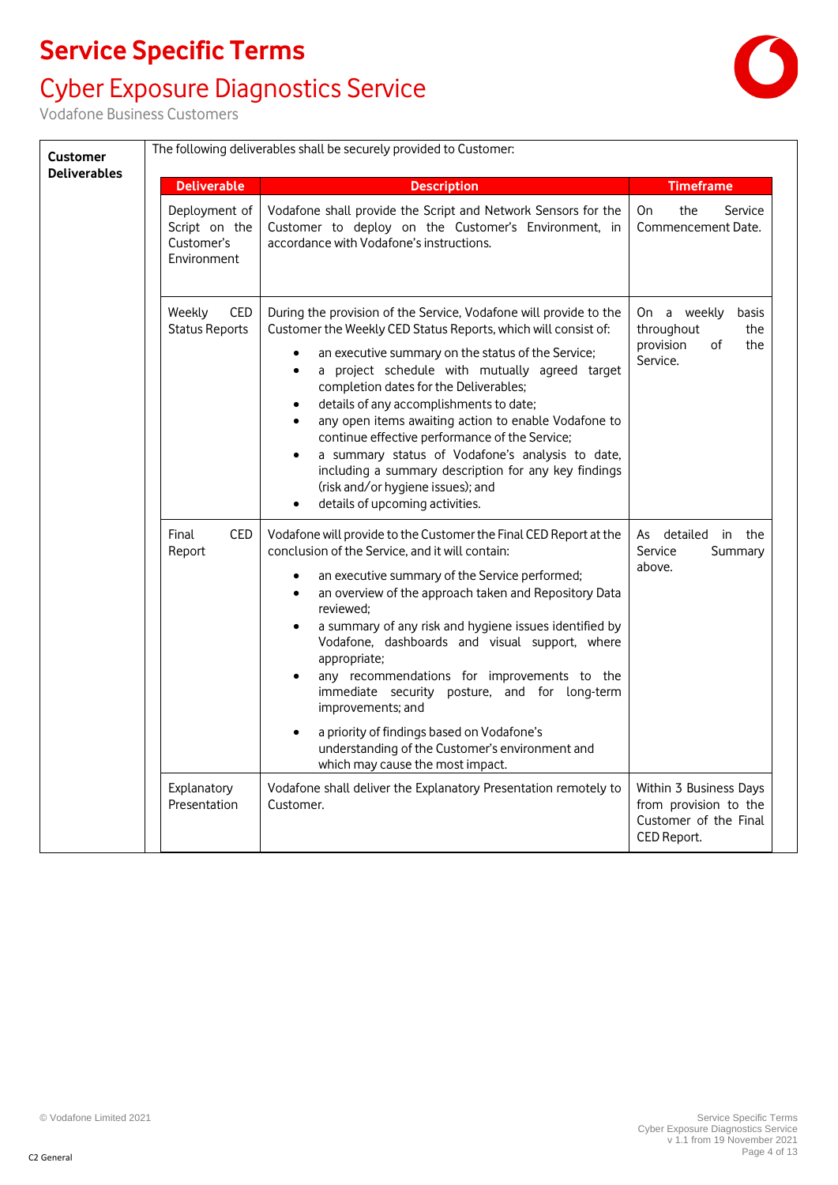# Cyber Exposure Diagnostics Service

| <b>Customer</b>     | The following deliverables shall be securely provided to Customer: |                                                                                                                                                                                                                                                                                                                                                                                                                                                                                                                                                                                                                                                                                         |                                                                                         |
|---------------------|--------------------------------------------------------------------|-----------------------------------------------------------------------------------------------------------------------------------------------------------------------------------------------------------------------------------------------------------------------------------------------------------------------------------------------------------------------------------------------------------------------------------------------------------------------------------------------------------------------------------------------------------------------------------------------------------------------------------------------------------------------------------------|-----------------------------------------------------------------------------------------|
| <b>Deliverables</b> | <b>Deliverable</b>                                                 | <b>Description</b>                                                                                                                                                                                                                                                                                                                                                                                                                                                                                                                                                                                                                                                                      | <b>Timeframe</b>                                                                        |
|                     | Deployment of<br>Script on the<br>Customer's<br>Environment        | Vodafone shall provide the Script and Network Sensors for the<br>Customer to deploy on the Customer's Environment, in<br>accordance with Vodafone's instructions.                                                                                                                                                                                                                                                                                                                                                                                                                                                                                                                       | the<br>On<br>Service<br>Commencement Date.                                              |
|                     | CED<br>Weekly<br><b>Status Reports</b>                             | During the provision of the Service, Vodafone will provide to the<br>Customer the Weekly CED Status Reports, which will consist of:<br>an executive summary on the status of the Service;<br>٠<br>a project schedule with mutually agreed target<br>$\bullet$<br>completion dates for the Deliverables;<br>details of any accomplishments to date;<br>any open items awaiting action to enable Vodafone to<br>$\bullet$<br>continue effective performance of the Service;<br>a summary status of Vodafone's analysis to date,<br>$\bullet$<br>including a summary description for any key findings<br>(risk and/or hygiene issues); and<br>details of upcoming activities.<br>$\bullet$ | On a weekly<br>basis<br>throughout<br>the<br>provision<br>0f<br>the<br>Service.         |
|                     | CED<br>Final<br>Report                                             | Vodafone will provide to the Customer the Final CED Report at the<br>conclusion of the Service, and it will contain:<br>an executive summary of the Service performed;<br>an overview of the approach taken and Repository Data<br>$\bullet$<br>reviewed:<br>a summary of any risk and hygiene issues identified by<br>$\bullet$<br>Vodafone, dashboards and visual support, where<br>appropriate;<br>any recommendations for improvements to the<br>immediate security posture, and for long-term<br>improvements; and<br>a priority of findings based on Vodafone's<br>understanding of the Customer's environment and<br>which may cause the most impact.                            | As detailed<br>in the<br>Summary<br>Service<br>above.                                   |
|                     | Explanatory<br>Presentation                                        | Vodafone shall deliver the Explanatory Presentation remotely to<br>Customer.                                                                                                                                                                                                                                                                                                                                                                                                                                                                                                                                                                                                            | Within 3 Business Days<br>from provision to the<br>Customer of the Final<br>CED Report. |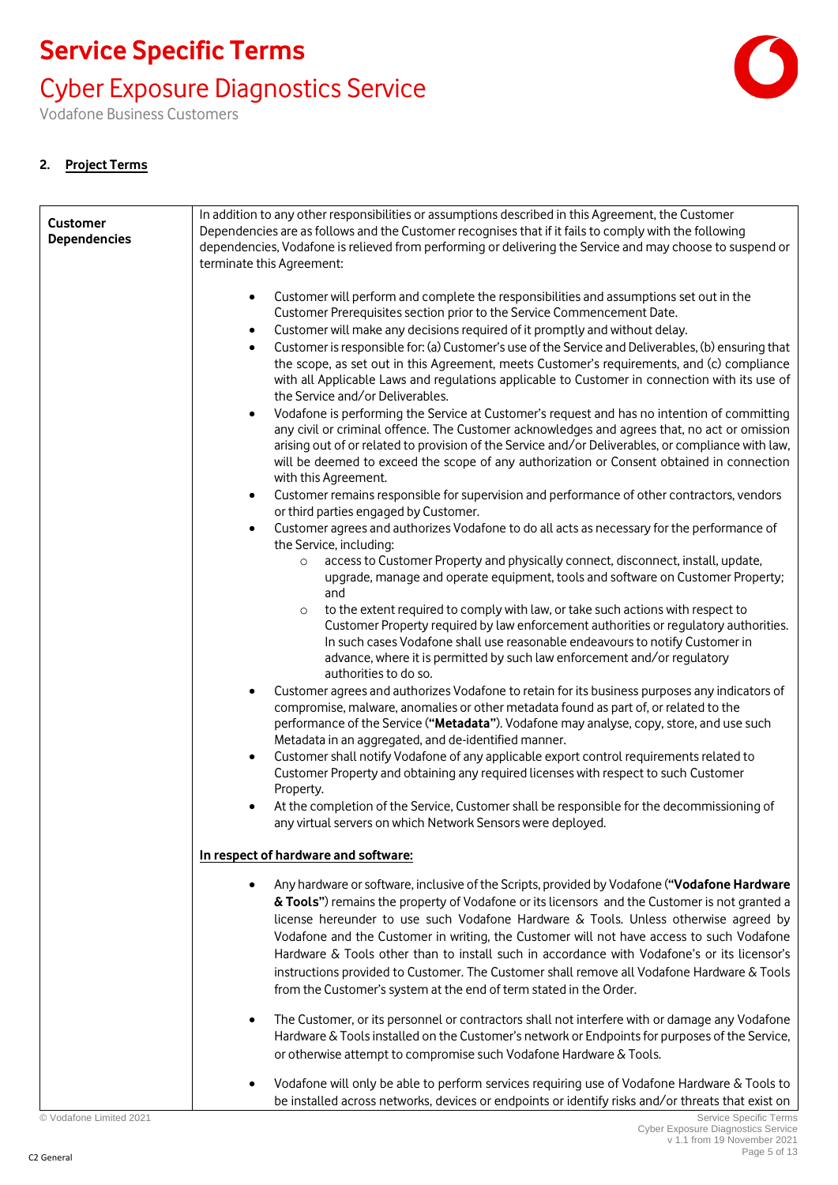### Cyber Exposure Diagnostics Service

Vodafone Business Customers

#### **2. Project Terms**

| <b>Customer</b><br><b>Dependencies</b> | In addition to any other responsibilities or assumptions described in this Agreement, the Customer<br>Dependencies are as follows and the Customer recognises that if it fails to comply with the following<br>dependencies, Vodafone is relieved from performing or delivering the Service and may choose to suspend or<br>terminate this Agreement:                                                                                                                                                                                                                                                                                                                                                                                                                                                                                                                                                                                                                                                                                                                                                                                                                                                                                                                                                                                                                                                                                                                                                                                                                                                                                                                                                                                                                                                                                                                                                                                                                                                                                                                                                                                                                                                                                                                                                                                                                                                                        |
|----------------------------------------|------------------------------------------------------------------------------------------------------------------------------------------------------------------------------------------------------------------------------------------------------------------------------------------------------------------------------------------------------------------------------------------------------------------------------------------------------------------------------------------------------------------------------------------------------------------------------------------------------------------------------------------------------------------------------------------------------------------------------------------------------------------------------------------------------------------------------------------------------------------------------------------------------------------------------------------------------------------------------------------------------------------------------------------------------------------------------------------------------------------------------------------------------------------------------------------------------------------------------------------------------------------------------------------------------------------------------------------------------------------------------------------------------------------------------------------------------------------------------------------------------------------------------------------------------------------------------------------------------------------------------------------------------------------------------------------------------------------------------------------------------------------------------------------------------------------------------------------------------------------------------------------------------------------------------------------------------------------------------------------------------------------------------------------------------------------------------------------------------------------------------------------------------------------------------------------------------------------------------------------------------------------------------------------------------------------------------------------------------------------------------------------------------------------------------|
|                                        | Customer will perform and complete the responsibilities and assumptions set out in the<br>Customer Prerequisites section prior to the Service Commencement Date.<br>Customer will make any decisions required of it promptly and without delay.<br>$\bullet$<br>Customer is responsible for: (a) Customer's use of the Service and Deliverables, (b) ensuring that<br>the scope, as set out in this Agreement, meets Customer's requirements, and (c) compliance<br>with all Applicable Laws and regulations applicable to Customer in connection with its use of<br>the Service and/or Deliverables.<br>Vodafone is performing the Service at Customer's request and has no intention of committing<br>any civil or criminal offence. The Customer acknowledges and agrees that, no act or omission<br>arising out of or related to provision of the Service and/or Deliverables, or compliance with law,<br>will be deemed to exceed the scope of any authorization or Consent obtained in connection<br>with this Agreement.<br>Customer remains responsible for supervision and performance of other contractors, vendors<br>$\bullet$<br>or third parties engaged by Customer.<br>Customer agrees and authorizes Vodafone to do all acts as necessary for the performance of<br>the Service, including:<br>access to Customer Property and physically connect, disconnect, install, update,<br>$\circ$<br>upgrade, manage and operate equipment, tools and software on Customer Property;<br>and<br>to the extent required to comply with law, or take such actions with respect to<br>$\circ$<br>Customer Property required by law enforcement authorities or regulatory authorities.<br>In such cases Vodafone shall use reasonable endeavours to notify Customer in<br>advance, where it is permitted by such law enforcement and/or regulatory<br>authorities to do so.<br>Customer agrees and authorizes Vodafone to retain for its business purposes any indicators of<br>compromise, malware, anomalies or other metadata found as part of, or related to the<br>performance of the Service ("Metadata"). Vodafone may analyse, copy, store, and use such<br>Metadata in an aggregated, and de-identified manner.<br>Customer shall notify Vodafone of any applicable export control requirements related to<br>$\bullet$<br>Customer Property and obtaining any required licenses with respect to such Customer |
|                                        | Property.<br>At the completion of the Service, Customer shall be responsible for the decommissioning of<br>any virtual servers on which Network Sensors were deployed.                                                                                                                                                                                                                                                                                                                                                                                                                                                                                                                                                                                                                                                                                                                                                                                                                                                                                                                                                                                                                                                                                                                                                                                                                                                                                                                                                                                                                                                                                                                                                                                                                                                                                                                                                                                                                                                                                                                                                                                                                                                                                                                                                                                                                                                       |
|                                        | In respect of hardware and software:                                                                                                                                                                                                                                                                                                                                                                                                                                                                                                                                                                                                                                                                                                                                                                                                                                                                                                                                                                                                                                                                                                                                                                                                                                                                                                                                                                                                                                                                                                                                                                                                                                                                                                                                                                                                                                                                                                                                                                                                                                                                                                                                                                                                                                                                                                                                                                                         |
|                                        | Any hardware or software, inclusive of the Scripts, provided by Vodafone ("Vodafone Hardware<br>& Tools") remains the property of Vodafone or its licensors and the Customer is not granted a<br>license hereunder to use such Vodafone Hardware & Tools. Unless otherwise agreed by<br>Vodafone and the Customer in writing, the Customer will not have access to such Vodafone<br>Hardware & Tools other than to install such in accordance with Vodafone's or its licensor's<br>instructions provided to Customer. The Customer shall remove all Vodafone Hardware & Tools<br>from the Customer's system at the end of term stated in the Order.                                                                                                                                                                                                                                                                                                                                                                                                                                                                                                                                                                                                                                                                                                                                                                                                                                                                                                                                                                                                                                                                                                                                                                                                                                                                                                                                                                                                                                                                                                                                                                                                                                                                                                                                                                          |
|                                        | The Customer, or its personnel or contractors shall not interfere with or damage any Vodafone<br>Hardware & Tools installed on the Customer's network or Endpoints for purposes of the Service,<br>or otherwise attempt to compromise such Vodafone Hardware & Tools.                                                                                                                                                                                                                                                                                                                                                                                                                                                                                                                                                                                                                                                                                                                                                                                                                                                                                                                                                                                                                                                                                                                                                                                                                                                                                                                                                                                                                                                                                                                                                                                                                                                                                                                                                                                                                                                                                                                                                                                                                                                                                                                                                        |
|                                        | Vodafone will only be able to perform services requiring use of Vodafone Hardware & Tools to<br>be installed across networks, devices or endpoints or identify risks and/or threats that exist on                                                                                                                                                                                                                                                                                                                                                                                                                                                                                                                                                                                                                                                                                                                                                                                                                                                                                                                                                                                                                                                                                                                                                                                                                                                                                                                                                                                                                                                                                                                                                                                                                                                                                                                                                                                                                                                                                                                                                                                                                                                                                                                                                                                                                            |

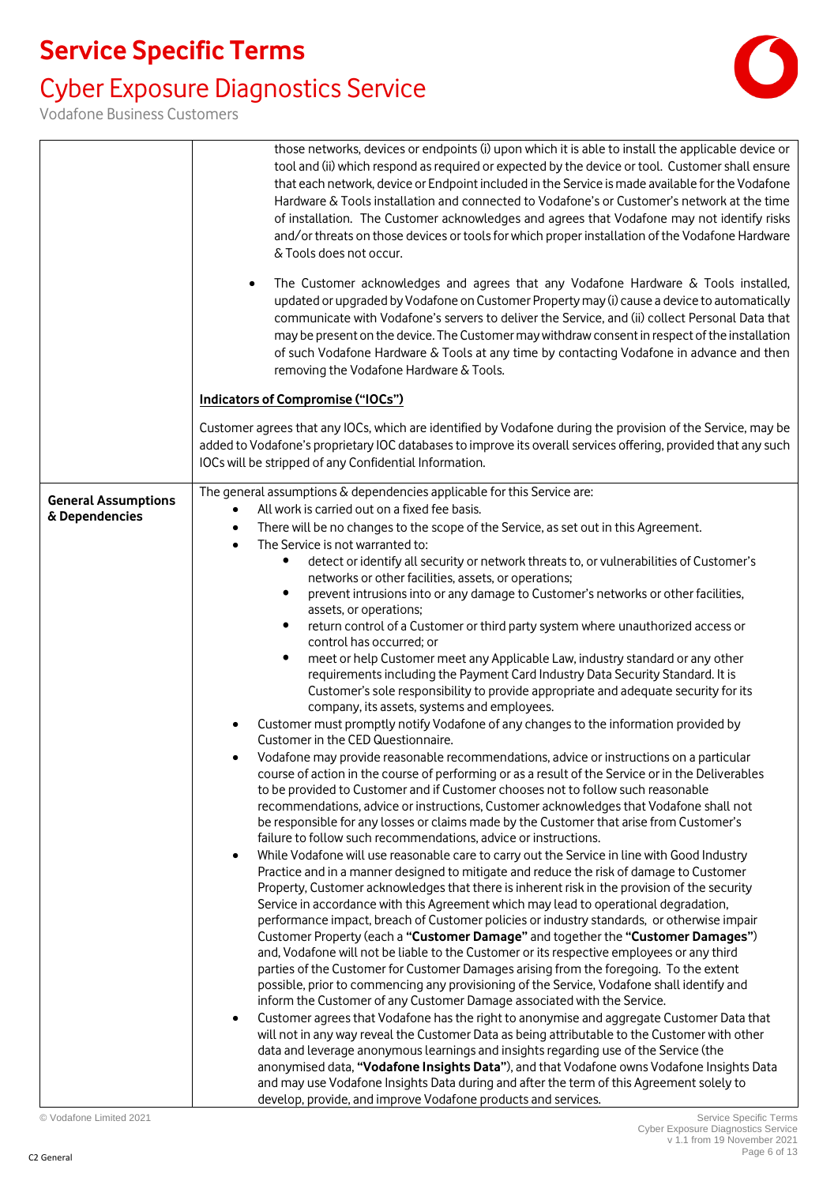### Cyber Exposure Diagnostics Service



|                            | those networks, devices or endpoints (i) upon which it is able to install the applicable device or<br>tool and (ii) which respond as required or expected by the device or tool. Customer shall ensure<br>that each network, device or Endpoint included in the Service is made available for the Vodafone<br>Hardware & Tools installation and connected to Vodafone's or Customer's network at the time<br>of installation. The Customer acknowledges and agrees that Vodafone may not identify risks<br>and/or threats on those devices or tools for which proper installation of the Vodafone Hardware<br>& Tools does not occur.<br>The Customer acknowledges and agrees that any Vodafone Hardware & Tools installed,<br>$\bullet$ |
|----------------------------|------------------------------------------------------------------------------------------------------------------------------------------------------------------------------------------------------------------------------------------------------------------------------------------------------------------------------------------------------------------------------------------------------------------------------------------------------------------------------------------------------------------------------------------------------------------------------------------------------------------------------------------------------------------------------------------------------------------------------------------|
|                            | updated or upgraded by Vodafone on Customer Property may (i) cause a device to automatically<br>communicate with Vodafone's servers to deliver the Service, and (ii) collect Personal Data that<br>may be present on the device. The Customer may withdraw consent in respect of the installation<br>of such Vodafone Hardware & Tools at any time by contacting Vodafone in advance and then<br>removing the Vodafone Hardware & Tools.                                                                                                                                                                                                                                                                                                 |
|                            | <b>Indicators of Compromise ("IOCs")</b>                                                                                                                                                                                                                                                                                                                                                                                                                                                                                                                                                                                                                                                                                                 |
|                            | Customer agrees that any IOCs, which are identified by Vodafone during the provision of the Service, may be<br>added to Vodafone's proprietary IOC databases to improve its overall services offering, provided that any such<br>IOCs will be stripped of any Confidential Information.                                                                                                                                                                                                                                                                                                                                                                                                                                                  |
| <b>General Assumptions</b> | The general assumptions & dependencies applicable for this Service are:                                                                                                                                                                                                                                                                                                                                                                                                                                                                                                                                                                                                                                                                  |
| & Dependencies             | All work is carried out on a fixed fee basis.<br>$\bullet$<br>There will be no changes to the scope of the Service, as set out in this Agreement.<br>$\bullet$                                                                                                                                                                                                                                                                                                                                                                                                                                                                                                                                                                           |
|                            | The Service is not warranted to:<br>$\bullet$                                                                                                                                                                                                                                                                                                                                                                                                                                                                                                                                                                                                                                                                                            |
|                            | detect or identify all security or network threats to, or vulnerabilities of Customer's<br>$\bullet$                                                                                                                                                                                                                                                                                                                                                                                                                                                                                                                                                                                                                                     |
|                            | networks or other facilities, assets, or operations;<br>$\bullet$                                                                                                                                                                                                                                                                                                                                                                                                                                                                                                                                                                                                                                                                        |
|                            | prevent intrusions into or any damage to Customer's networks or other facilities,<br>assets, or operations;                                                                                                                                                                                                                                                                                                                                                                                                                                                                                                                                                                                                                              |
|                            | return control of a Customer or third party system where unauthorized access or<br>$\bullet$                                                                                                                                                                                                                                                                                                                                                                                                                                                                                                                                                                                                                                             |
|                            | control has occurred; or                                                                                                                                                                                                                                                                                                                                                                                                                                                                                                                                                                                                                                                                                                                 |
|                            | meet or help Customer meet any Applicable Law, industry standard or any other<br>$\bullet$<br>requirements including the Payment Card Industry Data Security Standard. It is<br>Customer's sole responsibility to provide appropriate and adequate security for its                                                                                                                                                                                                                                                                                                                                                                                                                                                                      |
|                            | company, its assets, systems and employees.                                                                                                                                                                                                                                                                                                                                                                                                                                                                                                                                                                                                                                                                                              |
|                            | Customer must promptly notify Vodafone of any changes to the information provided by<br>$\bullet$<br>Customer in the CED Questionnaire.                                                                                                                                                                                                                                                                                                                                                                                                                                                                                                                                                                                                  |
|                            | Vodafone may provide reasonable recommendations, advice or instructions on a particular<br>course of action in the course of performing or as a result of the Service or in the Deliverables<br>to be provided to Customer and if Customer chooses not to follow such reasonable                                                                                                                                                                                                                                                                                                                                                                                                                                                         |
|                            | recommendations, advice or instructions, Customer acknowledges that Vodafone shall not                                                                                                                                                                                                                                                                                                                                                                                                                                                                                                                                                                                                                                                   |
|                            | be responsible for any losses or claims made by the Customer that arise from Customer's<br>failure to follow such recommendations, advice or instructions.                                                                                                                                                                                                                                                                                                                                                                                                                                                                                                                                                                               |
|                            | While Vodafone will use reasonable care to carry out the Service in line with Good Industry<br>$\bullet$<br>Practice and in a manner designed to mitigate and reduce the risk of damage to Customer<br>Property, Customer acknowledges that there is inherent risk in the provision of the security                                                                                                                                                                                                                                                                                                                                                                                                                                      |
|                            | Service in accordance with this Agreement which may lead to operational degradation,<br>performance impact, breach of Customer policies or industry standards, or otherwise impair                                                                                                                                                                                                                                                                                                                                                                                                                                                                                                                                                       |
|                            | Customer Property (each a "Customer Damage" and together the "Customer Damages")<br>and, Vodafone will not be liable to the Customer or its respective employees or any third<br>parties of the Customer for Customer Damages arising from the foregoing. To the extent                                                                                                                                                                                                                                                                                                                                                                                                                                                                  |
|                            | possible, prior to commencing any provisioning of the Service, Vodafone shall identify and<br>inform the Customer of any Customer Damage associated with the Service.                                                                                                                                                                                                                                                                                                                                                                                                                                                                                                                                                                    |
|                            | Customer agrees that Vodafone has the right to anonymise and aggregate Customer Data that<br>$\bullet$                                                                                                                                                                                                                                                                                                                                                                                                                                                                                                                                                                                                                                   |
|                            | will not in any way reveal the Customer Data as being attributable to the Customer with other<br>data and leverage anonymous learnings and insights regarding use of the Service (the<br>anonymised data, "Vodafone Insights Data"), and that Vodafone owns Vodafone Insights Data                                                                                                                                                                                                                                                                                                                                                                                                                                                       |
|                            | and may use Vodafone Insights Data during and after the term of this Agreement solely to<br>develop, provide, and improve Vodafone products and services.                                                                                                                                                                                                                                                                                                                                                                                                                                                                                                                                                                                |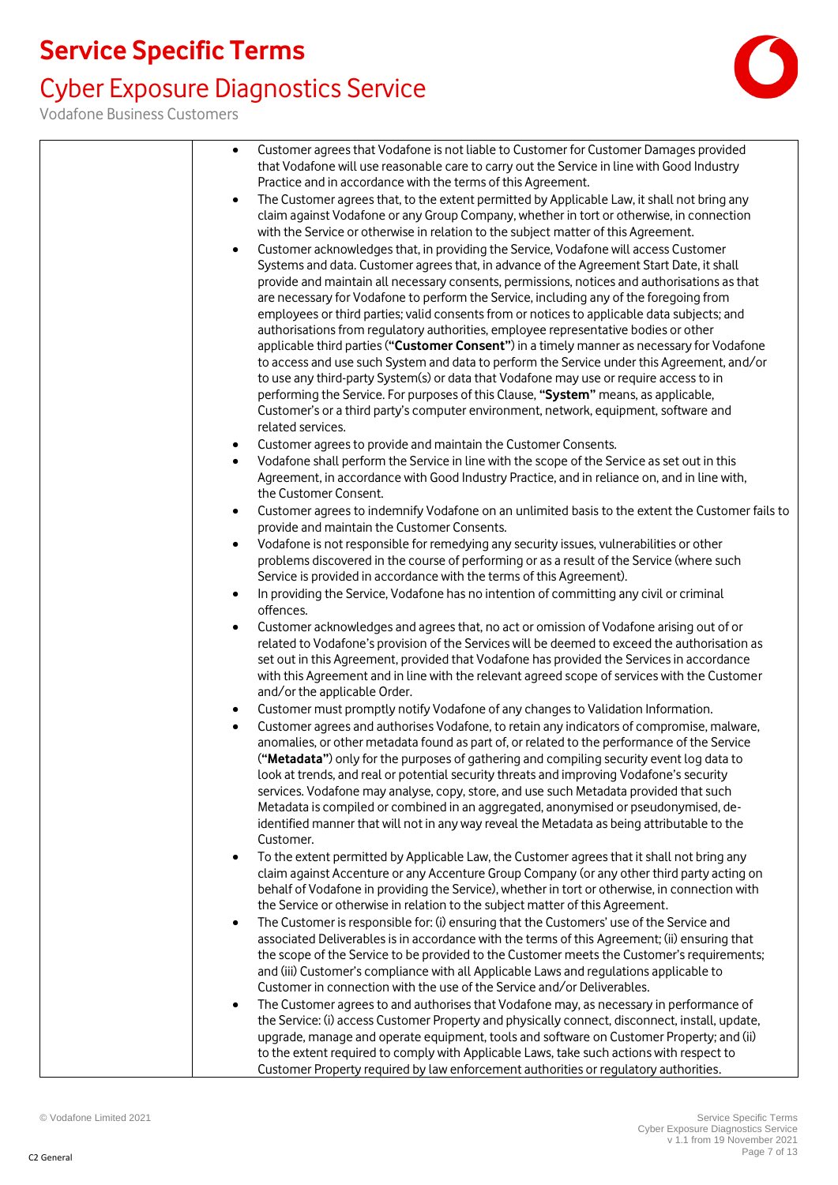### Cyber Exposure Diagnostics Service



| Customer agrees that Vodafone is not liable to Customer for Customer Damages provided<br>that Vodafone will use reasonable care to carry out the Service in line with Good Industry<br>Practice and in accordance with the terms of this Agreement.<br>The Customer agrees that, to the extent permitted by Applicable Law, it shall not bring any<br>$\bullet$<br>claim against Vodafone or any Group Company, whether in tort or otherwise, in connection<br>with the Service or otherwise in relation to the subject matter of this Agreement.<br>Customer acknowledges that, in providing the Service, Vodafone will access Customer<br>$\bullet$<br>Systems and data. Customer agrees that, in advance of the Agreement Start Date, it shall<br>provide and maintain all necessary consents, permissions, notices and authorisations as that<br>are necessary for Vodafone to perform the Service, including any of the foregoing from<br>employees or third parties; valid consents from or notices to applicable data subjects; and<br>authorisations from regulatory authorities, employee representative bodies or other<br>applicable third parties ("Customer Consent") in a timely manner as necessary for Vodafone<br>to access and use such System and data to perform the Service under this Agreement, and/or<br>to use any third-party System(s) or data that Vodafone may use or require access to in<br>performing the Service. For purposes of this Clause, "System" means, as applicable,<br>Customer's or a third party's computer environment, network, equipment, software and<br>related services. |
|-----------------------------------------------------------------------------------------------------------------------------------------------------------------------------------------------------------------------------------------------------------------------------------------------------------------------------------------------------------------------------------------------------------------------------------------------------------------------------------------------------------------------------------------------------------------------------------------------------------------------------------------------------------------------------------------------------------------------------------------------------------------------------------------------------------------------------------------------------------------------------------------------------------------------------------------------------------------------------------------------------------------------------------------------------------------------------------------------------------------------------------------------------------------------------------------------------------------------------------------------------------------------------------------------------------------------------------------------------------------------------------------------------------------------------------------------------------------------------------------------------------------------------------------------------------------------------------------------------------------------------|
| Customer agrees to provide and maintain the Customer Consents.<br>$\bullet$<br>Vodafone shall perform the Service in line with the scope of the Service as set out in this<br>$\bullet$<br>Agreement, in accordance with Good Industry Practice, and in reliance on, and in line with,                                                                                                                                                                                                                                                                                                                                                                                                                                                                                                                                                                                                                                                                                                                                                                                                                                                                                                                                                                                                                                                                                                                                                                                                                                                                                                                                      |
| the Customer Consent.<br>Customer agrees to indemnify Vodafone on an unlimited basis to the extent the Customer fails to<br>$\bullet$<br>provide and maintain the Customer Consents.                                                                                                                                                                                                                                                                                                                                                                                                                                                                                                                                                                                                                                                                                                                                                                                                                                                                                                                                                                                                                                                                                                                                                                                                                                                                                                                                                                                                                                        |
| Vodafone is not responsible for remedying any security issues, vulnerabilities or other<br>$\bullet$<br>problems discovered in the course of performing or as a result of the Service (where such<br>Service is provided in accordance with the terms of this Agreement).                                                                                                                                                                                                                                                                                                                                                                                                                                                                                                                                                                                                                                                                                                                                                                                                                                                                                                                                                                                                                                                                                                                                                                                                                                                                                                                                                   |
| In providing the Service, Vodafone has no intention of committing any civil or criminal<br>$\bullet$<br>offences.                                                                                                                                                                                                                                                                                                                                                                                                                                                                                                                                                                                                                                                                                                                                                                                                                                                                                                                                                                                                                                                                                                                                                                                                                                                                                                                                                                                                                                                                                                           |
| Customer acknowledges and agrees that, no act or omission of Vodafone arising out of or<br>$\bullet$<br>related to Vodafone's provision of the Services will be deemed to exceed the authorisation as<br>set out in this Agreement, provided that Vodafone has provided the Services in accordance<br>with this Agreement and in line with the relevant agreed scope of services with the Customer<br>and/or the applicable Order.                                                                                                                                                                                                                                                                                                                                                                                                                                                                                                                                                                                                                                                                                                                                                                                                                                                                                                                                                                                                                                                                                                                                                                                          |
| Customer must promptly notify Vodafone of any changes to Validation Information.<br>$\bullet$                                                                                                                                                                                                                                                                                                                                                                                                                                                                                                                                                                                                                                                                                                                                                                                                                                                                                                                                                                                                                                                                                                                                                                                                                                                                                                                                                                                                                                                                                                                               |
| Customer agrees and authorises Vodafone, to retain any indicators of compromise, malware,<br>$\bullet$<br>anomalies, or other metadata found as part of, or related to the performance of the Service<br>("Metadata") only for the purposes of gathering and compiling security event log data to<br>look at trends, and real or potential security threats and improving Vodafone's security<br>services. Vodafone may analyse, copy, store, and use such Metadata provided that such<br>Metadata is compiled or combined in an aggregated, anonymised or pseudonymised, de-<br>identified manner that will not in any way reveal the Metadata as being attributable to the<br>Customer.                                                                                                                                                                                                                                                                                                                                                                                                                                                                                                                                                                                                                                                                                                                                                                                                                                                                                                                                   |
| To the extent permitted by Applicable Law, the Customer agrees that it shall not bring any<br>$\bullet$<br>claim against Accenture or any Accenture Group Company (or any other third party acting on<br>behalf of Vodafone in providing the Service), whether in tort or otherwise, in connection with<br>the Service or otherwise in relation to the subject matter of this Agreement.<br>The Customer is responsible for: (i) ensuring that the Customers' use of the Service and<br>$\bullet$<br>associated Deliverables is in accordance with the terms of this Agreement; (ii) ensuring that                                                                                                                                                                                                                                                                                                                                                                                                                                                                                                                                                                                                                                                                                                                                                                                                                                                                                                                                                                                                                          |
| the scope of the Service to be provided to the Customer meets the Customer's requirements;<br>and (iii) Customer's compliance with all Applicable Laws and regulations applicable to<br>Customer in connection with the use of the Service and/or Deliverables.                                                                                                                                                                                                                                                                                                                                                                                                                                                                                                                                                                                                                                                                                                                                                                                                                                                                                                                                                                                                                                                                                                                                                                                                                                                                                                                                                             |
| The Customer agrees to and authorises that Vodafone may, as necessary in performance of<br>$\bullet$<br>the Service: (i) access Customer Property and physically connect, disconnect, install, update,<br>upgrade, manage and operate equipment, tools and software on Customer Property; and (ii)<br>to the extent required to comply with Applicable Laws, take such actions with respect to<br>Customer Property required by law enforcement authorities or regulatory authorities.                                                                                                                                                                                                                                                                                                                                                                                                                                                                                                                                                                                                                                                                                                                                                                                                                                                                                                                                                                                                                                                                                                                                      |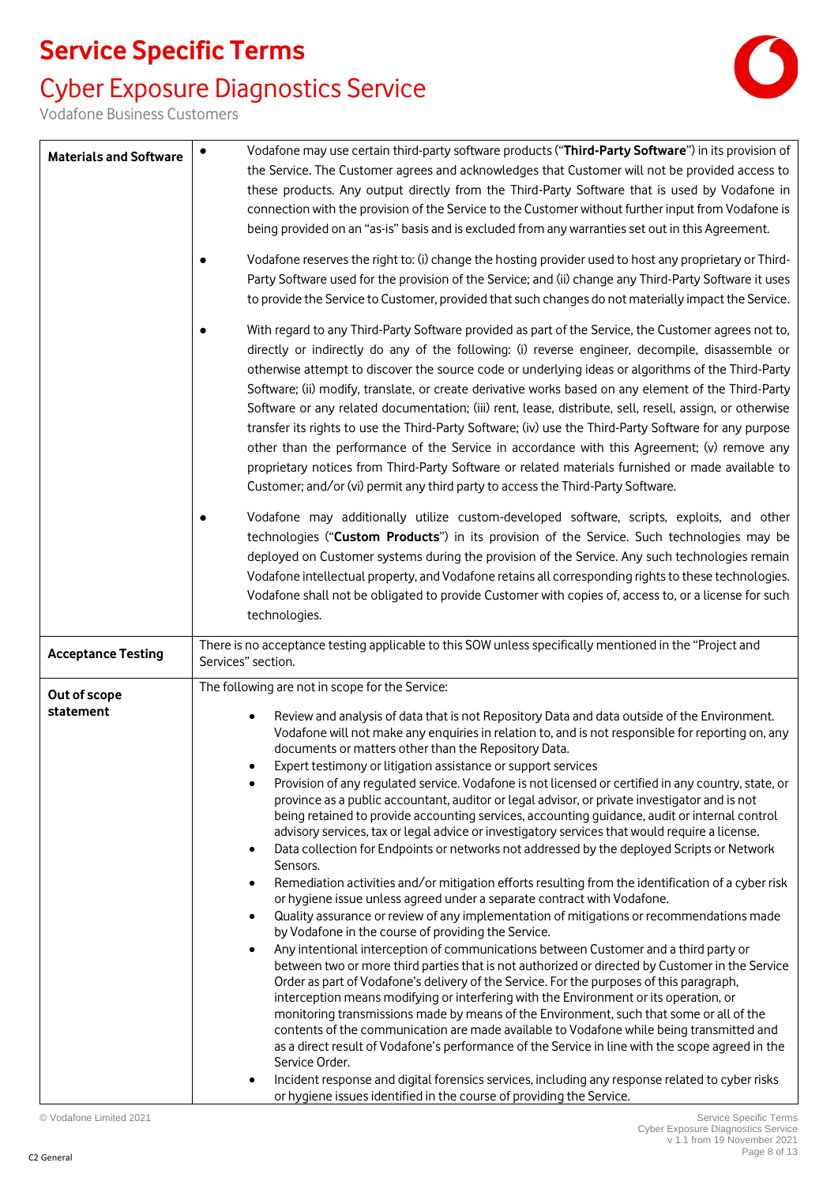### Cyber Exposure Diagnostics Service



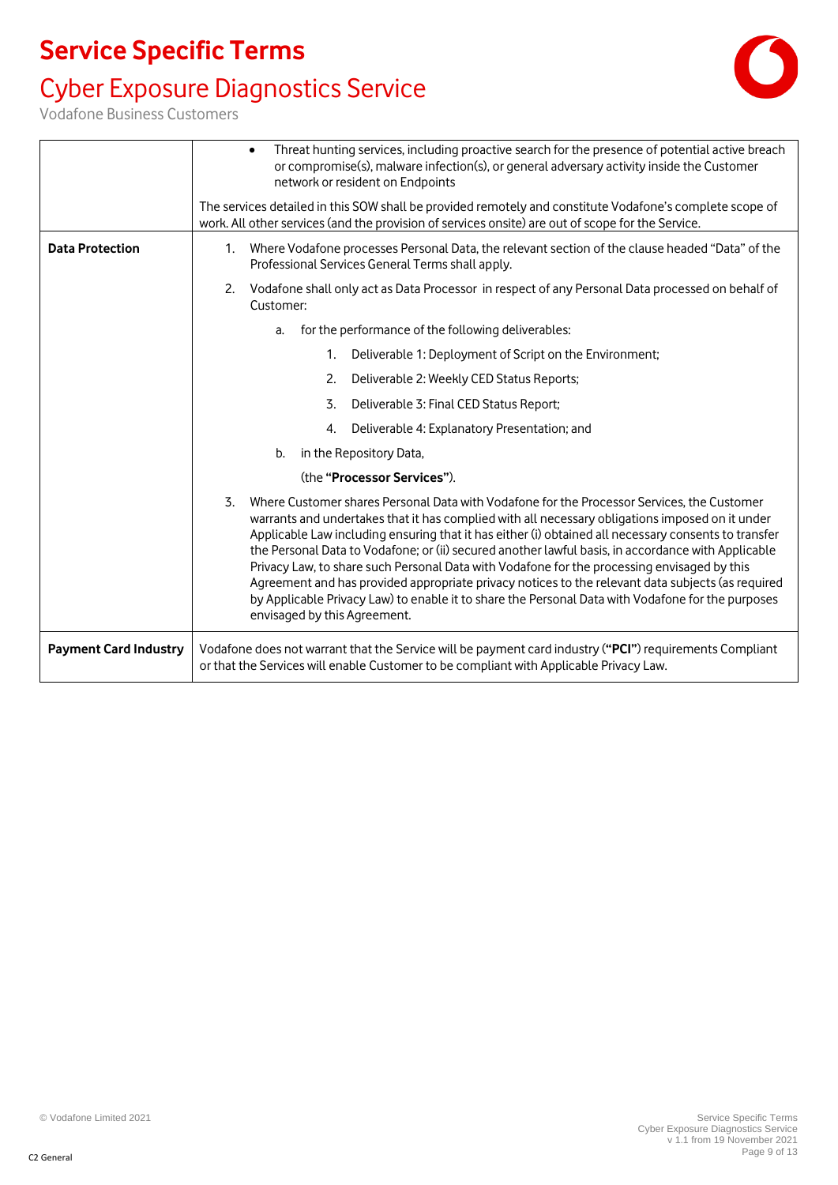### Cyber Exposure Diagnostics Service

|                              | Threat hunting services, including proactive search for the presence of potential active breach<br>or compromise(s), malware infection(s), or general adversary activity inside the Customer<br>network or resident on Endpoints                                                                                                                                                                                                                                                                                                                                                                                                                                                                                                                           |  |
|------------------------------|------------------------------------------------------------------------------------------------------------------------------------------------------------------------------------------------------------------------------------------------------------------------------------------------------------------------------------------------------------------------------------------------------------------------------------------------------------------------------------------------------------------------------------------------------------------------------------------------------------------------------------------------------------------------------------------------------------------------------------------------------------|--|
|                              | The services detailed in this SOW shall be provided remotely and constitute Vodafone's complete scope of<br>work. All other services (and the provision of services onsite) are out of scope for the Service.                                                                                                                                                                                                                                                                                                                                                                                                                                                                                                                                              |  |
| <b>Data Protection</b>       | Where Vodafone processes Personal Data, the relevant section of the clause headed "Data" of the<br>1.<br>Professional Services General Terms shall apply.                                                                                                                                                                                                                                                                                                                                                                                                                                                                                                                                                                                                  |  |
|                              | Vodafone shall only act as Data Processor in respect of any Personal Data processed on behalf of<br>2.<br>Customer:                                                                                                                                                                                                                                                                                                                                                                                                                                                                                                                                                                                                                                        |  |
|                              | for the performance of the following deliverables:<br>a.                                                                                                                                                                                                                                                                                                                                                                                                                                                                                                                                                                                                                                                                                                   |  |
|                              | Deliverable 1: Deployment of Script on the Environment;<br>$1_{\cdot}$                                                                                                                                                                                                                                                                                                                                                                                                                                                                                                                                                                                                                                                                                     |  |
|                              | Deliverable 2: Weekly CED Status Reports;<br>2.                                                                                                                                                                                                                                                                                                                                                                                                                                                                                                                                                                                                                                                                                                            |  |
|                              | Deliverable 3: Final CED Status Report;<br>3.                                                                                                                                                                                                                                                                                                                                                                                                                                                                                                                                                                                                                                                                                                              |  |
|                              | Deliverable 4: Explanatory Presentation; and<br>4.                                                                                                                                                                                                                                                                                                                                                                                                                                                                                                                                                                                                                                                                                                         |  |
|                              | b.<br>in the Repository Data,                                                                                                                                                                                                                                                                                                                                                                                                                                                                                                                                                                                                                                                                                                                              |  |
|                              | (the "Processor Services").                                                                                                                                                                                                                                                                                                                                                                                                                                                                                                                                                                                                                                                                                                                                |  |
|                              | Where Customer shares Personal Data with Vodafone for the Processor Services, the Customer<br>3.<br>warrants and undertakes that it has complied with all necessary obligations imposed on it under<br>Applicable Law including ensuring that it has either (i) obtained all necessary consents to transfer<br>the Personal Data to Vodafone; or (ii) secured another lawful basis, in accordance with Applicable<br>Privacy Law, to share such Personal Data with Vodafone for the processing envisaged by this<br>Agreement and has provided appropriate privacy notices to the relevant data subjects (as required<br>by Applicable Privacy Law) to enable it to share the Personal Data with Vodafone for the purposes<br>envisaged by this Agreement. |  |
| <b>Payment Card Industry</b> | Vodafone does not warrant that the Service will be payment card industry ("PCI") requirements Compliant<br>or that the Services will enable Customer to be compliant with Applicable Privacy Law.                                                                                                                                                                                                                                                                                                                                                                                                                                                                                                                                                          |  |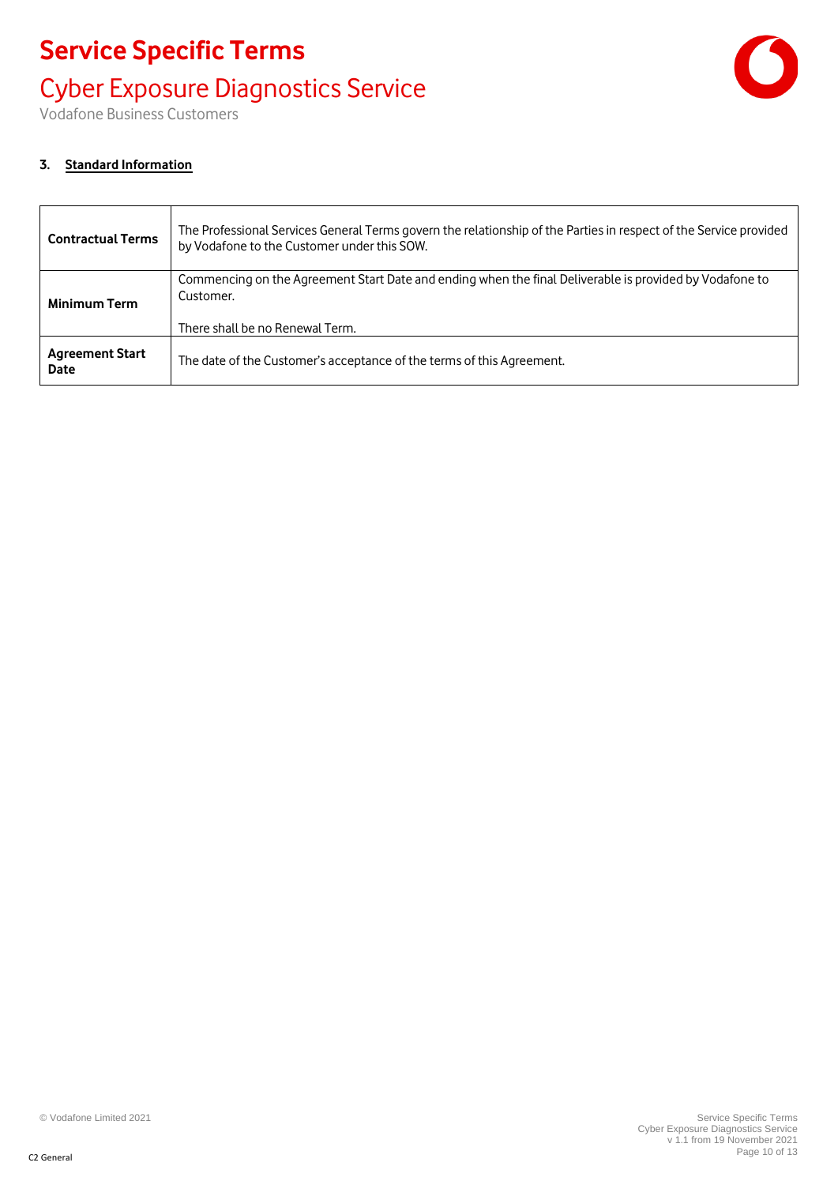### Cyber Exposure Diagnostics Service



Vodafone Business Customers

#### **3. Standard Information**

| <b>Contractual Terms</b> | The Professional Services General Terms govern the relationship of the Parties in respect of the Service provided<br>by Vodafone to the Customer under this SOW. |
|--------------------------|------------------------------------------------------------------------------------------------------------------------------------------------------------------|
| Minimum Term             | Commencing on the Agreement Start Date and ending when the final Deliverable is provided by Vodafone to<br>Customer.                                             |
| <b>Agreement Start</b>   | The date of the Customer's acceptance of the terms of this Agreement.                                                                                            |
| <b>Date</b>              | There shall be no Renewal Term.                                                                                                                                  |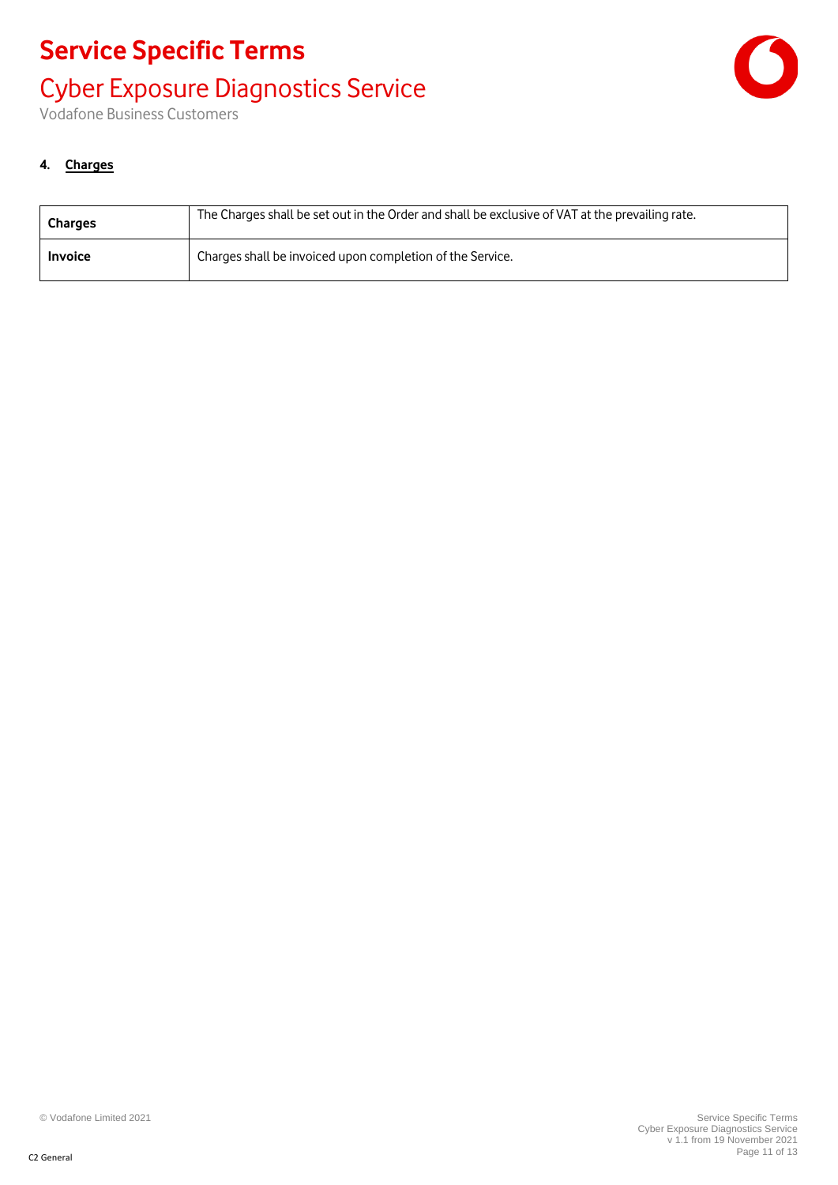Cyber Exposure Diagnostics Service



Vodafone Business Customers

#### **4. Charges**

| <b>Charges</b> | The Charges shall be set out in the Order and shall be exclusive of VAT at the prevailing rate. |
|----------------|-------------------------------------------------------------------------------------------------|
| <b>Invoice</b> | Charges shall be invoiced upon completion of the Service.                                       |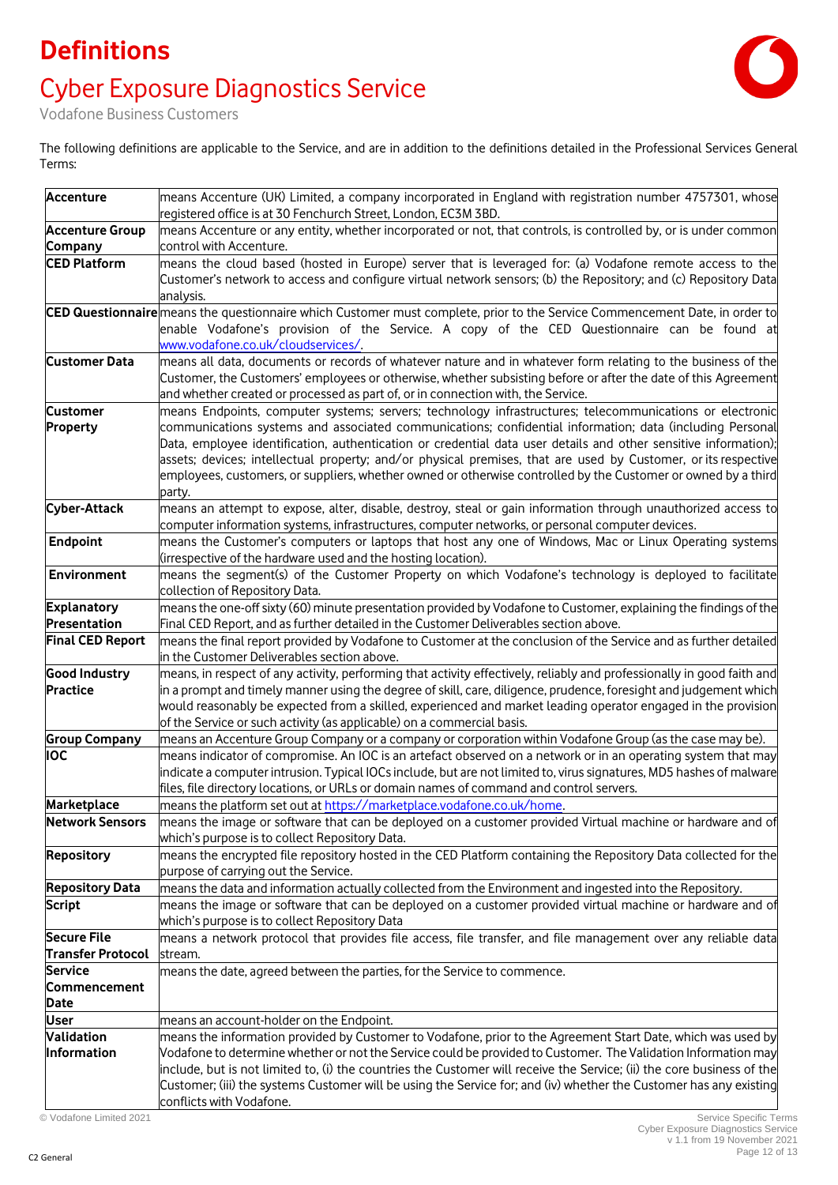# **Definitions** Cyber Exposure Diagnostics Service



Vodafone Business Customers

The following definitions are applicable to the Service, and are in addition to the definitions detailed in the Professional Services General Terms:

| <b>Accenture</b>         | means Accenture (UK) Limited, a company incorporated in England with registration number 4757301, whose<br>registered office is at 30 Fenchurch Street, London, EC3M 3BD. |
|--------------------------|---------------------------------------------------------------------------------------------------------------------------------------------------------------------------|
| <b>Accenture Group</b>   | means Accenture or any entity, whether incorporated or not, that controls, is controlled by, or is under common                                                           |
| Company                  | control with Accenture.                                                                                                                                                   |
| <b>CED Platform</b>      | means the cloud based (hosted in Europe) server that is leveraged for: (a) Vodafone remote access to the                                                                  |
|                          | Customer's network to access and configure virtual network sensors; (b) the Repository; and (c) Repository Data                                                           |
|                          | analysis.                                                                                                                                                                 |
|                          |                                                                                                                                                                           |
|                          | CED Questionnaire means the questionnaire which Customer must complete, prior to the Service Commencement Date, in order to                                               |
|                          | enable Vodafone's provision of the Service. A copy of the CED Questionnaire can be found at                                                                               |
|                          | www.vodafone.co.uk/cloudservices/.                                                                                                                                        |
| <b>Customer Data</b>     | means all data, documents or records of whatever nature and in whatever form relating to the business of the                                                              |
|                          | Customer, the Customers' employees or otherwise, whether subsisting before or after the date of this Agreement                                                            |
|                          | and whether created or processed as part of, or in connection with, the Service.                                                                                          |
| <b>Customer</b>          | means Endpoints, computer systems; servers; technology infrastructures; telecommunications or electronic                                                                  |
| Property                 | communications systems and associated communications; confidential information; data (including Personal                                                                  |
|                          | Data, employee identification, authentication or credential data user details and other sensitive information);                                                           |
|                          | assets; devices; intellectual property; and/or physical premises, that are used by Customer, or its respective                                                            |
|                          | employees, customers, or suppliers, whether owned or otherwise controlled by the Customer or owned by a third                                                             |
|                          | party.                                                                                                                                                                    |
| Cyber-Attack             | means an attempt to expose, alter, disable, destroy, steal or gain information through unauthorized access to                                                             |
|                          | computer information systems, infrastructures, computer networks, or personal computer devices.                                                                           |
| <b>Endpoint</b>          | means the Customer's computers or laptops that host any one of Windows, Mac or Linux Operating systems                                                                    |
|                          | (irrespective of the hardware used and the hosting location).                                                                                                             |
| <b>Environment</b>       | means the segment(s) of the Customer Property on which Vodafone's technology is deployed to facilitate                                                                    |
|                          | collection of Repository Data.                                                                                                                                            |
| <b>Explanatory</b>       | means the one-off sixty (60) minute presentation provided by Vodafone to Customer, explaining the findings of the                                                         |
| Presentation             | Final CED Report, and as further detailed in the Customer Deliverables section above.                                                                                     |
| <b>Final CED Report</b>  | means the final report provided by Vodafone to Customer at the conclusion of the Service and as further detailed                                                          |
|                          | in the Customer Deliverables section above.                                                                                                                               |
| <b>Good Industry</b>     | means, in respect of any activity, performing that activity effectively, reliably and professionally in good faith and                                                    |
| <b>Practice</b>          | in a prompt and timely manner using the degree of skill, care, diligence, prudence, foresight and judgement which                                                         |
|                          | would reasonably be expected from a skilled, experienced and market leading operator engaged in the provision                                                             |
|                          | of the Service or such activity (as applicable) on a commercial basis.                                                                                                    |
| <b>Group Company</b>     | means an Accenture Group Company or a company or corporation within Vodafone Group (as the case may be).                                                                  |
| <b>IOC</b>               | means indicator of compromise. An IOC is an artefact observed on a network or in an operating system that may                                                             |
|                          | indicate a computer intrusion. Typical IOCs include, but are not limited to, virus signatures, MD5 hashes of malware                                                      |
|                          | files, file directory locations, or URLs or domain names of command and control servers.                                                                                  |
| Marketplace              | means the platform set out at https://marketplace.vodafone.co.uk/home.                                                                                                    |
| <b>Network Sensors</b>   | means the image or software that can be deployed on a customer provided Virtual machine or hardware and of                                                                |
|                          | which's purpose is to collect Repository Data.                                                                                                                            |
| <b>Repository</b>        | means the encrypted file repository hosted in the CED Platform containing the Repository Data collected for the                                                           |
|                          | purpose of carrying out the Service.                                                                                                                                      |
| <b>Repository Data</b>   | means the data and information actually collected from the Environment and ingested into the Repository.                                                                  |
| <b>Script</b>            | means the image or software that can be deployed on a customer provided virtual machine or hardware and of                                                                |
|                          | which's purpose is to collect Repository Data                                                                                                                             |
| <b>Secure File</b>       | means a network protocol that provides file access, file transfer, and file management over any reliable data                                                             |
| <b>Transfer Protocol</b> | stream.                                                                                                                                                                   |
| <b>Service</b>           | means the date, agreed between the parties, for the Service to commence.                                                                                                  |
| Commencement             |                                                                                                                                                                           |
|                          |                                                                                                                                                                           |
| Date                     |                                                                                                                                                                           |
| <b>User</b>              | means an account-holder on the Endpoint.                                                                                                                                  |
| Validation               | means the information provided by Customer to Vodafone, prior to the Agreement Start Date, which was used by                                                              |
| Information              | Vodafone to determine whether or not the Service could be provided to Customer. The Validation Information may                                                            |
|                          | include, but is not limited to, (i) the countries the Customer will receive the Service; (ii) the core business of the                                                    |
|                          | Customer; (iii) the systems Customer will be using the Service for; and (iv) whether the Customer has any existing                                                        |
|                          | conflicts with Vodafone.                                                                                                                                                  |